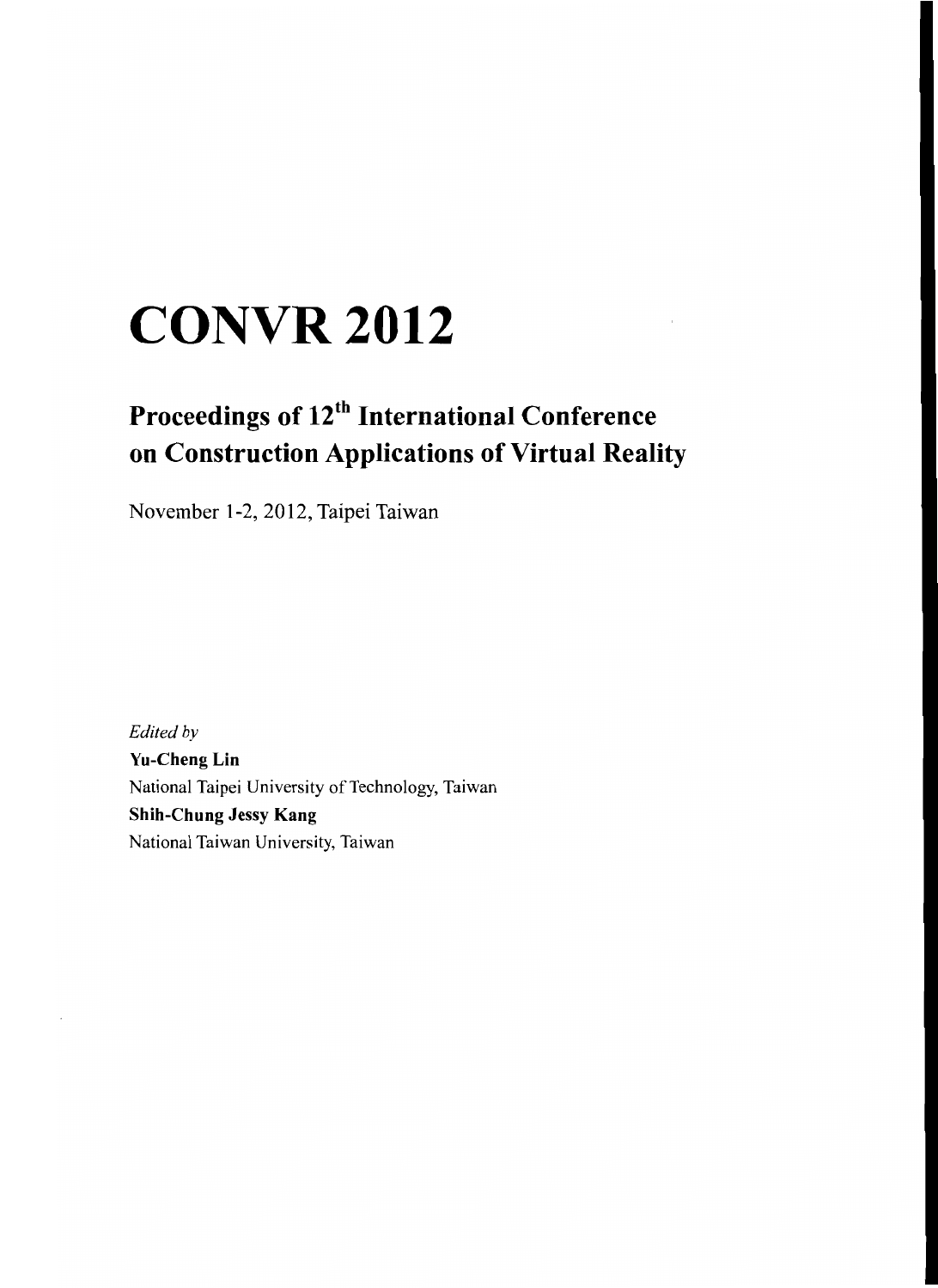## **CONVR2012**

## **Proceedings of 12th International Conference on Construction Applications of Virtual Reality**

November 1-2,2012, Taipei Taiwan

*Edited by* **Yu-Cheng Lin** National Taipei University of Technology, Taiwan **Shih-Chung** Jessy **Kang** National Taiwan University, Taiwan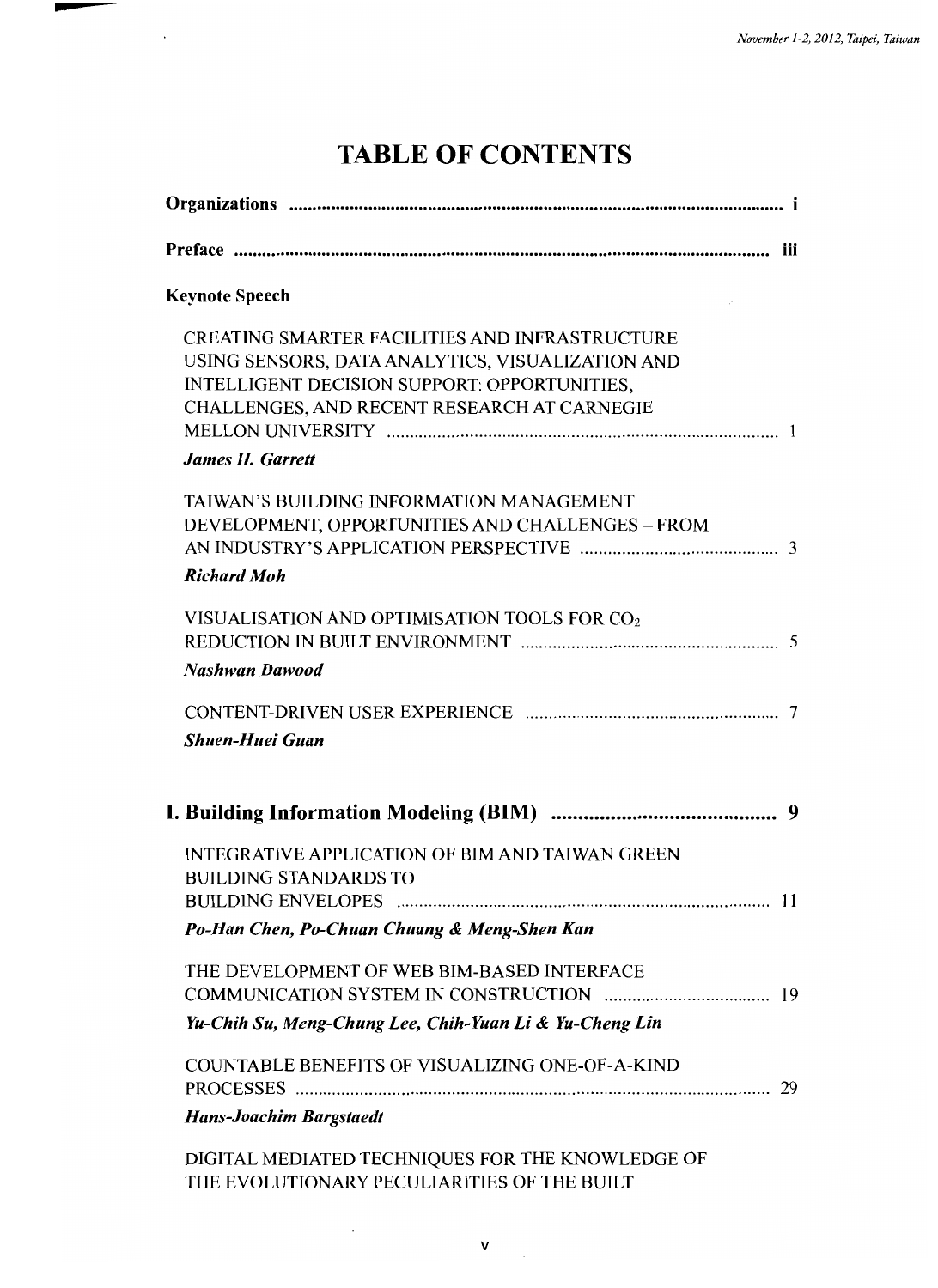## TABLE OF CONTENTS

 $\ddot{\phantom{a}}$ 

| <b>Keynote Speech</b>                                                                                                                                                                                                               |  |
|-------------------------------------------------------------------------------------------------------------------------------------------------------------------------------------------------------------------------------------|--|
| <b>CREATING SMARTER FACILITIES AND INFRASTRUCTURE</b><br>USING SENSORS, DATA ANALYTICS, VISUALIZATION AND<br>INTELLIGENT DECISION SUPPORT: OPPORTUNITIES,<br>CHALLENGES, AND RECENT RESEARCH AT CARNEGIE<br><b>James H. Garrett</b> |  |
| TAIWAN'S BUILDING INFORMATION MANAGEMENT<br>DEVELOPMENT, OPPORTUNITIES AND CHALLENGES - FROM<br><b>Richard Moh</b>                                                                                                                  |  |
| VISUALISATION AND OPTIMISATION TOOLS FOR CO <sub>2</sub><br><b>Nashwan Dawood</b>                                                                                                                                                   |  |
| <b>Shuen-Huei Guan</b>                                                                                                                                                                                                              |  |
|                                                                                                                                                                                                                                     |  |
| <b>INTEGRATIVE APPLICATION OF BIM AND TAIWAN GREEN</b><br><b>BUILDING STANDARDS TO</b><br>Po-Han Chen, Po-Chuan Chuang & Meng-Shen Kan                                                                                              |  |
| THE DEVELOPMENT OF WEB BIM-BASED INTERFACE                                                                                                                                                                                          |  |
| Yu-Chih Su, Meng-Chung Lee, Chih-Yuan Li & Yu-Cheng Lin                                                                                                                                                                             |  |
| <b>COUNTABLE BENEFITS OF VISUALIZING ONE-OF-A-KIND</b>                                                                                                                                                                              |  |
| <b>Hans-Joachim Bargstaedt</b>                                                                                                                                                                                                      |  |
| DIGITAL MEDIATED TECHNIQUES FOR THE KNOWLEDGE OF<br>THE EVOLUTIONARY PECULIARITIES OF THE BUILT                                                                                                                                     |  |

 $\ddot{\phantom{a}}$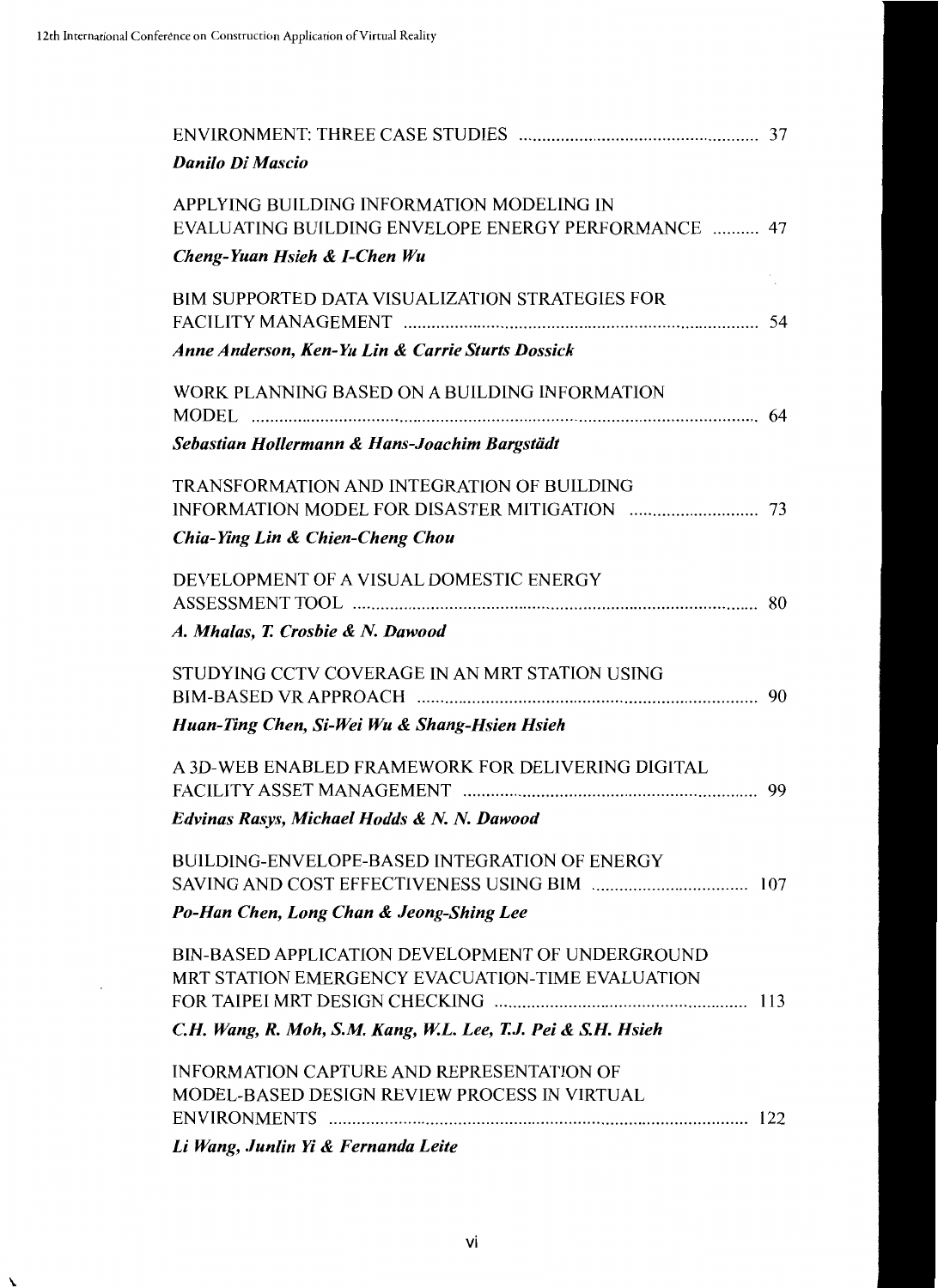| <b>Danilo Di Mascio</b>                                                                                                                                                                                                                                                                                                                                                                              |  |
|------------------------------------------------------------------------------------------------------------------------------------------------------------------------------------------------------------------------------------------------------------------------------------------------------------------------------------------------------------------------------------------------------|--|
| APPLYING BUILDING INFORMATION MODELING IN<br>EVALUATING BUILDING ENVELOPE ENERGY PERFORMANCE  47<br>Cheng-Yuan Hsieh & I-Chen Wu                                                                                                                                                                                                                                                                     |  |
| BIM SUPPORTED DATA VISUALIZATION STRATEGIES FOR<br>Anne Anderson, Ken-Yu Lin & Carrie Sturts Dossick                                                                                                                                                                                                                                                                                                 |  |
| WORK PLANNING BASED ON A BUILDING INFORMATION<br><b>MODEL</b><br>Sebastian Hollermann & Hans-Joachim Bargstädt                                                                                                                                                                                                                                                                                       |  |
| <b>TRANSFORMATION AND INTEGRATION OF BUILDING</b><br>Chia-Ying Lin & Chien-Cheng Chou                                                                                                                                                                                                                                                                                                                |  |
| DEVELOPMENT OF A VISUAL DOMESTIC ENERGY<br>A. Mhalas, T. Crosbie & N. Dawood                                                                                                                                                                                                                                                                                                                         |  |
| STUDYING CCTV COVERAGE IN AN MRT STATION USING<br>Huan-Ting Chen, Si-Wei Wu & Shang-Hsien Hsieh                                                                                                                                                                                                                                                                                                      |  |
| A 3D-WEB ENABLED FRAMEWORK FOR DELIVERING DIGITAL<br>Edvinas Rasys, Michael Hodds & N. N. Dawood                                                                                                                                                                                                                                                                                                     |  |
| <b>BUILDING-ENVELOPE-BASED INTEGRATION OF ENERGY</b><br>Po-Han Chen, Long Chan & Jeong-Shing Lee                                                                                                                                                                                                                                                                                                     |  |
| BIN-BASED APPLICATION DEVELOPMENT OF UNDERGROUND<br>MRT STATION EMERGENCY EVACUATION-TIME EVALUATION<br>C.H. Wang, R. Moh, S.M. Kang, W.L. Lee, T.J. Pei & S.H. Hsieh                                                                                                                                                                                                                                |  |
| <b>INFORMATION CAPTURE AND REPRESENTATION OF</b><br>MODEL-BASED DESIGN REVIEW PROCESS IN VIRTUAL<br>$\mathbf{v}$ and $\mathbf{v}$ and $\mathbf{v}$ and $\mathbf{v}$ and $\mathbf{v}$ and $\mathbf{v}$ and $\mathbf{v}$ and $\mathbf{v}$ and $\mathbf{v}$ and $\mathbf{v}$ and $\mathbf{v}$ and $\mathbf{v}$ and $\mathbf{v}$ and $\mathbf{v}$ and $\mathbf{v}$ and $\mathbf{v}$ and $\mathbf{v}$ and |  |

*Li Wang, Junlin* fi & *Fernanda Leite*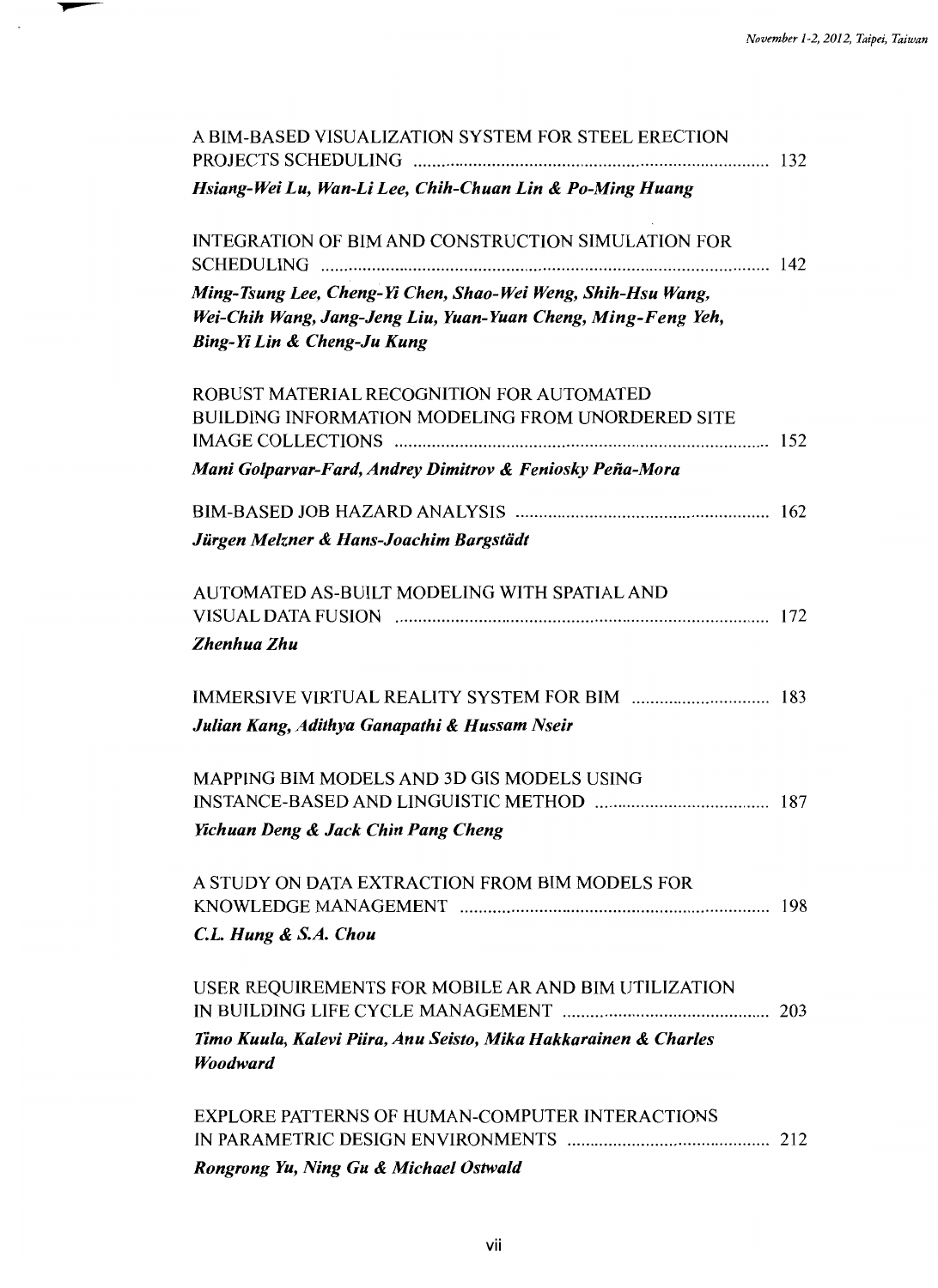| A BIM-BASED VISUALIZATION SYSTEM FOR STEEL ERECTION                                                                                                          |  |
|--------------------------------------------------------------------------------------------------------------------------------------------------------------|--|
| Hsiang-Wei Lu, Wan-Li Lee, Chih-Chuan Lin & Po-Ming Huang                                                                                                    |  |
| INTEGRATION OF BIM AND CONSTRUCTION SIMULATION FOR                                                                                                           |  |
| Ming-Tsung Lee, Cheng-Yi Chen, Shao-Wei Weng, Shih-Hsu Wang,<br>Wei-Chih Wang, Jang-Jeng Liu, Yuan-Yuan Cheng, Ming-Feng Yeh,<br>Bing-Yi Lin & Cheng-Ju Kung |  |
| ROBUST MATERIAL RECOGNITION FOR AUTOMATED<br><b>BUILDING INFORMATION MODELING FROM UNORDERED SITE</b>                                                        |  |
| Mani Golparvar-Fard, Andrey Dimitrov & Feniosky Peña-Mora                                                                                                    |  |
| Jürgen Melzner & Hans-Joachim Bargstädt                                                                                                                      |  |
| AUTOMATED AS-BUILT MODELING WITH SPATIAL AND                                                                                                                 |  |
| Zhenhua Zhu                                                                                                                                                  |  |
|                                                                                                                                                              |  |
| Julian Kang, Adithya Ganapathi & Hussam Nseir                                                                                                                |  |
| MAPPING BIM MODELS AND 3D GIS MODELS USING                                                                                                                   |  |
| Yichuan Deng & Jack Chin Pang Cheng                                                                                                                          |  |
| A STUDY ON DATA EXTRACTION FROM BIM MODELS FOR                                                                                                               |  |
| C.L. Hung & S.A. Chou                                                                                                                                        |  |
| USER REQUIREMENTS FOR MOBILE AR AND BIM UTILIZATION                                                                                                          |  |
| Timo Kuula, Kalevi Piira, Anu Seisto, Mika Hakkarainen & Charles<br>Woodward                                                                                 |  |
| <b>EXPLORE PATTERNS OF HUMAN-COMPUTER INTERACTIONS</b>                                                                                                       |  |
| Rongrong Yu, Ning Gu & Michael Ostwald                                                                                                                       |  |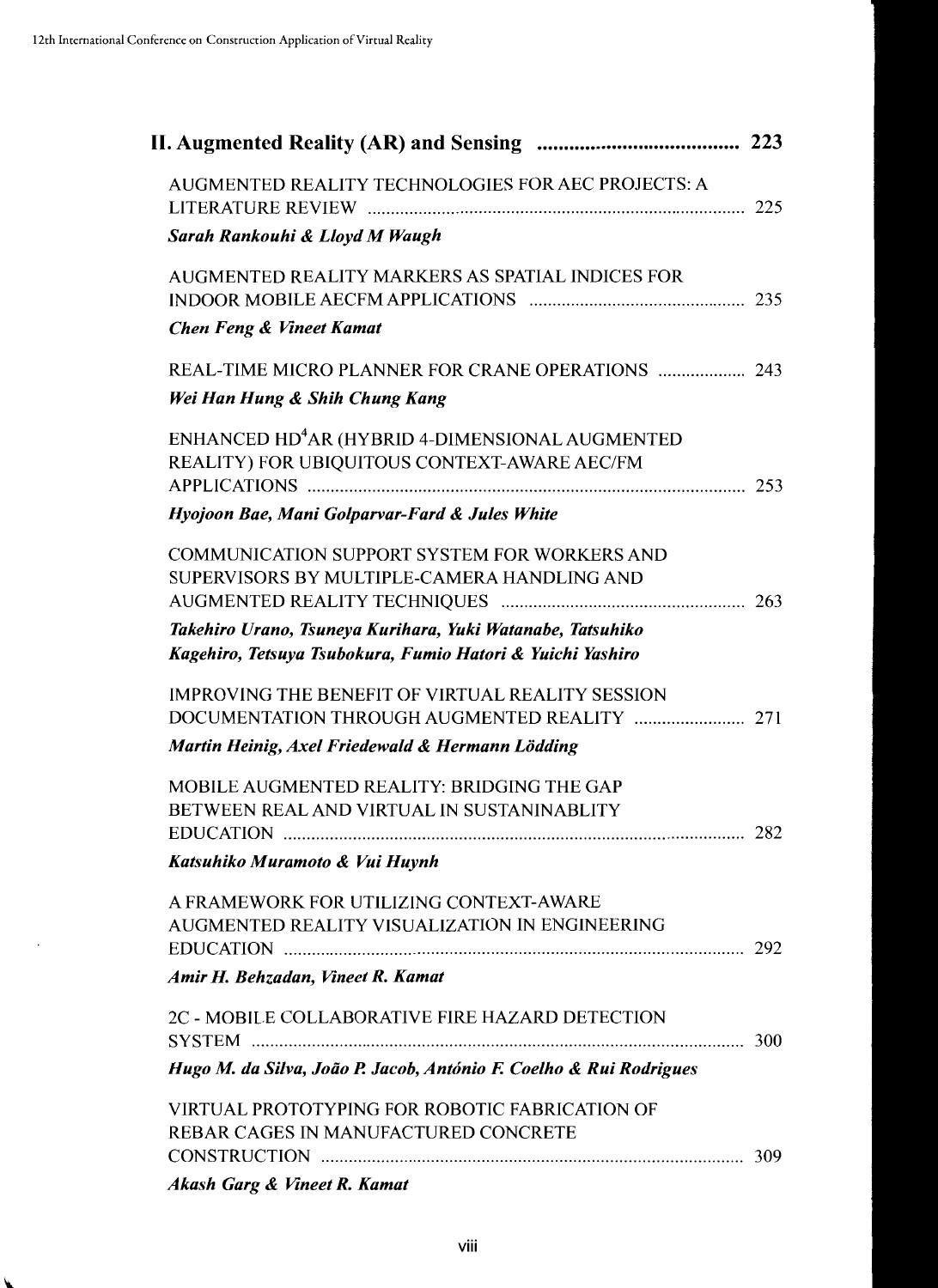| AUGMENTED REALITY TECHNOLOGIES FOR AEC PROJECTS: A                                                                                                                                                                             |  |
|--------------------------------------------------------------------------------------------------------------------------------------------------------------------------------------------------------------------------------|--|
| Sarah Rankouhi & Lloyd M Waugh                                                                                                                                                                                                 |  |
| AUGMENTED REALITY MARKERS AS SPATIAL INDICES FOR<br><b>Chen Feng &amp; Vineet Kamat</b>                                                                                                                                        |  |
| REAL-TIME MICRO PLANNER FOR CRANE OPERATIONS  243<br>Wei Han Hung & Shih Chung Kang                                                                                                                                            |  |
| ENHANCED HD <sup>4</sup> AR (HYBRID 4-DIMENSIONAL AUGMENTED<br>REALITY) FOR UBIQUITOUS CONTEXT-AWARE AEC/FM                                                                                                                    |  |
| Hyojoon Bae, Mani Golparvar-Fard & Jules White                                                                                                                                                                                 |  |
| <b>COMMUNICATION SUPPORT SYSTEM FOR WORKERS AND</b><br>SUPERVISORS BY MULTIPLE-CAMERA HANDLING AND<br>Takehiro Urano, Tsuneya Kurihara, Yuki Watanabe, Tatsuhiko<br>Kagehiro, Tetsuya Tsubokura, Fumio Hatori & Yuichi Yashiro |  |
| <b>IMPROVING THE BENEFIT OF VIRTUAL REALITY SESSION</b>                                                                                                                                                                        |  |
| Martin Heinig, Axel Friedewald & Hermann Lödding                                                                                                                                                                               |  |
| MOBILE AUGMENTED REALITY: BRIDGING THE GAP<br>BETWEEN REAL AND VIRTUAL IN SUSTANINABLITY<br>Katsuhiko Muramoto & Vui Huynh                                                                                                     |  |
| A FRAMEWORK FOR UTILIZING CONTEXT-AWARE<br>AUGMENTED REALITY VISUALIZATION IN ENGINEERING                                                                                                                                      |  |
| Amir H. Behzadan, Vineet R. Kamat                                                                                                                                                                                              |  |
| 2C - MOBILE COLLABORATIVE FIRE HAZARD DETECTION                                                                                                                                                                                |  |
| Hugo M. da Silva, João P. Jacob, António F. Coelho & Rui Rodrigues                                                                                                                                                             |  |
| VIRTUAL PROTOTYPING FOR ROBOTIC FABRICATION OF<br>REBAR CAGES IN MANUFACTURED CONCRETE                                                                                                                                         |  |
| Akash Garg & Vineet R. Kamat                                                                                                                                                                                                   |  |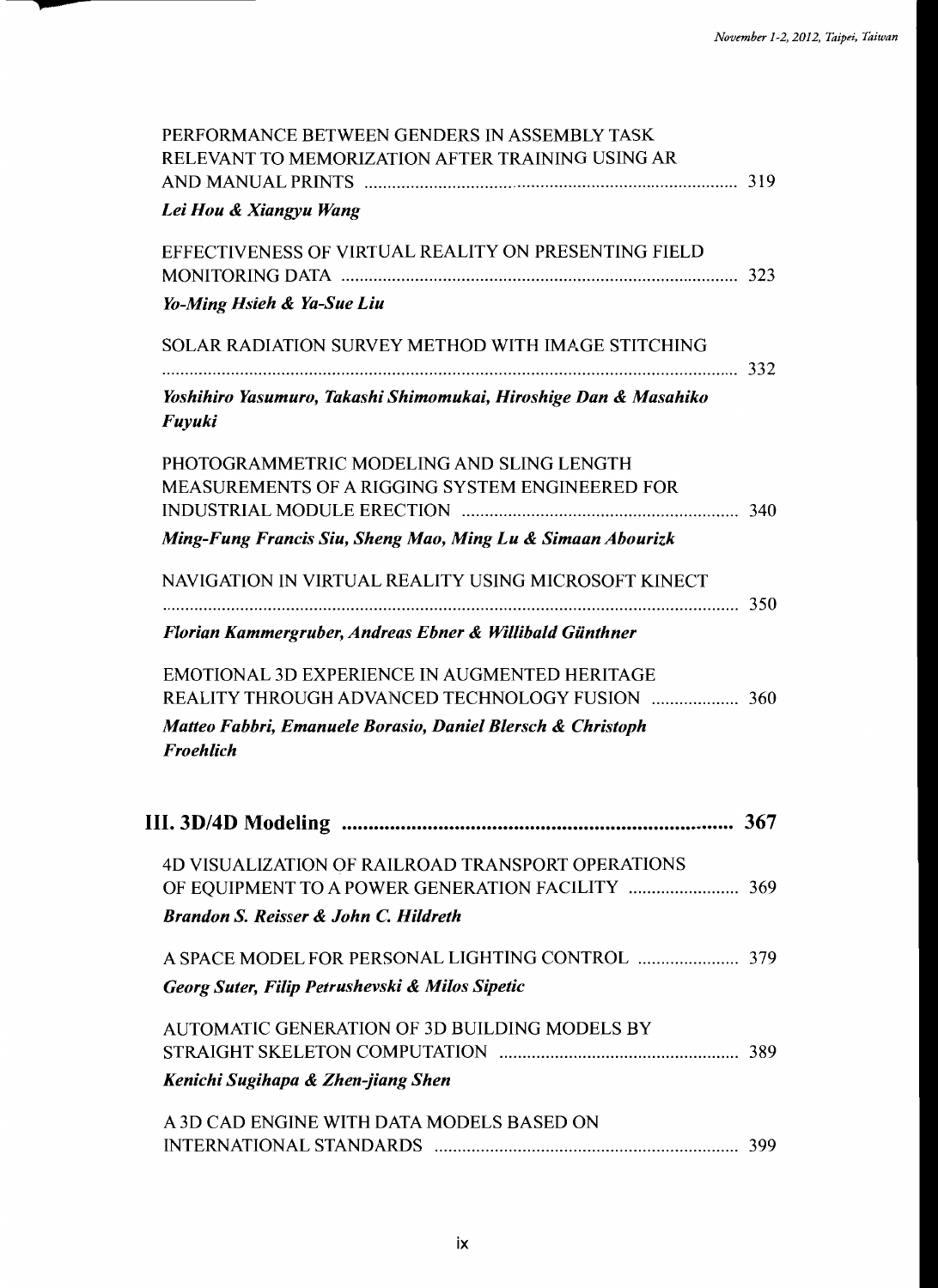| PERFORMANCE BETWEEN GENDERS IN ASSEMBLY TASK<br>RELEVANT TO MEMORIZATION AFTER TRAINING USING AR               |     |
|----------------------------------------------------------------------------------------------------------------|-----|
| Lei Hou & Xiangyu Wang                                                                                         |     |
| EFFECTIVENESS OF VIRTUAL REALITY ON PRESENTING FIELD                                                           |     |
| Yo-Ming Hsieh & Ya-Sue Liu                                                                                     |     |
| SOLAR RADIATION SURVEY METHOD WITH IMAGE STITCHING                                                             |     |
| Yoshihiro Yasumuro, Takashi Shimomukai, Hiroshige Dan & Masahiko<br>Fuyuki                                     |     |
| PHOTOGRAMMETRIC MODELING AND SLING LENGTH<br><b>MEASUREMENTS OF A RIGGING SYSTEM ENGINEERED FOR</b>            |     |
| Ming-Fung Francis Siu, Sheng Mao, Ming Lu & Simaan Abourizk                                                    |     |
| NAVIGATION IN VIRTUAL REALITY USING MICROSOFT KINECT                                                           |     |
| Florian Kammergruber, Andreas Ebner & Willibald Günthner                                                       |     |
| <b>EMOTIONAL 3D EXPERIENCE IN AUGMENTED HERITAGE</b><br><b>REALITY THROUGH ADVANCED TECHNOLOGY FUSION  360</b> |     |
| Matteo Fabbri, Emanuele Borasio, Daniel Blersch & Christoph<br><b>Froehlich</b>                                |     |
|                                                                                                                |     |
|                                                                                                                | 367 |
| 4D VISUALIZATION OF RAILROAD TRANSPORT OPERATIONS                                                              |     |
| <b>Brandon S. Reisser &amp; John C. Hildreth</b>                                                               |     |
|                                                                                                                |     |
| Georg Suter, Filip Petrushevski & Milos Sipetic                                                                |     |
| <b>AUTOMATIC GENERATION OF 3D BUILDING MODELS BY</b>                                                           |     |
| Kenichi Sugihapa & Zhen-jiang Shen                                                                             |     |
| A 3D CAD ENGINE WITH DATA MODELS BASED ON                                                                      |     |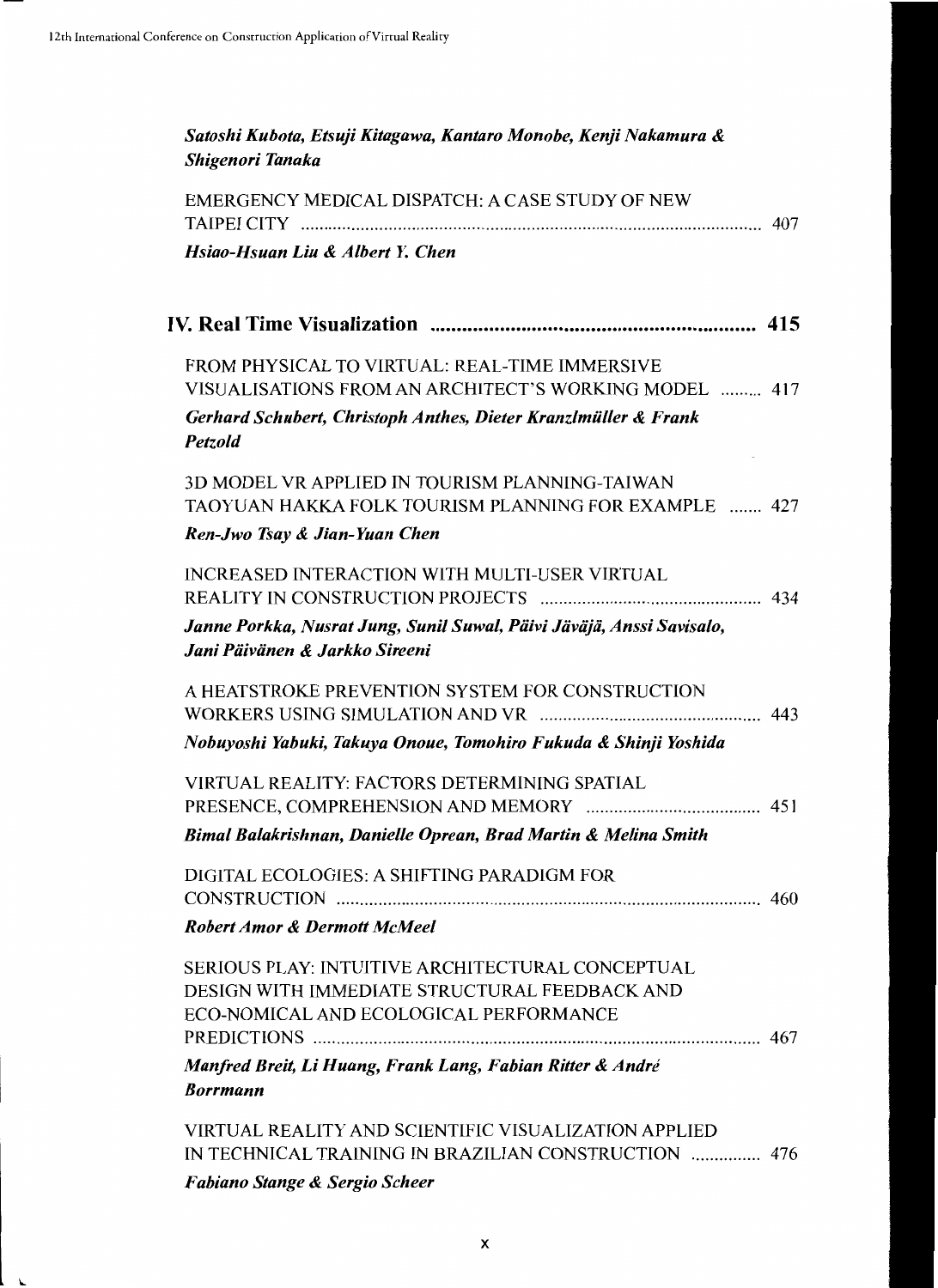| Satoshi Kubota, Etsuji Kitagawa, Kantaro Monobe, Kenji Nakamura &<br>Shigenori Tanaka                                                              |     |
|----------------------------------------------------------------------------------------------------------------------------------------------------|-----|
| EMERGENCY MEDICAL DISPATCH: A CASE STUDY OF NEW                                                                                                    |     |
| Hsiao-Hsuan Liu & Albert Y. Chen                                                                                                                   |     |
|                                                                                                                                                    |     |
| FROM PHYSICAL TO VIRTUAL: REAL-TIME IMMERSIVE                                                                                                      |     |
| VISUALISATIONS FROM AN ARCHITECT'S WORKING MODEL  417<br>Gerhard Schubert, Christoph Anthes, Dieter Kranzlmüller & Frank<br>Petzold                |     |
| 3D MODEL VR APPLIED IN TOURISM PLANNING-TAIWAN<br>TAOYUAN HAKKA FOLK TOURISM PLANNING FOR EXAMPLE  427                                             |     |
| Ren-Jwo Tsay & Jian-Yuan Chen                                                                                                                      |     |
| INCREASED INTERACTION WITH MULTI-USER VIRTUAL                                                                                                      |     |
| Janne Porkka, Nusrat Jung, Sunil Suwal, Päivi Jäväjä, Anssi Savisalo,<br>Jani Päivänen & Jarkko Sireeni                                            |     |
| A HEATSTROKE PREVENTION SYSTEM FOR CONSTRUCTION                                                                                                    |     |
| Nobuyoshi Yabuki, Takuya Onoue, Tomohiro Fukuda & Shinji Yoshida                                                                                   |     |
| VIRTUAL REALITY: FACTORS DETERMINING SPATIAL<br>PRESENCE, COMPREHENSION AND MEMORY                                                                 | 451 |
| Bimal Balakrishnan, Danielle Oprean, Brad Martin & Melina Smith                                                                                    |     |
| DIGITAL ECOLOGIES: A SHIFTING PARADIGM FOR                                                                                                         |     |
| <b>Robert Amor &amp; Dermott McMeel</b>                                                                                                            |     |
| <b>SERIOUS PLAY: INTUITIVE ARCHITECTURAL CONCEPTUAL</b><br>DESIGN WITH IMMEDIATE STRUCTURAL FEEDBACK AND<br>ECO-NOMICAL AND ECOLOGICAL PERFORMANCE |     |
| Manfred Breit, Li Huang, Frank Lang, Fabian Ritter & André<br><b>Borrmann</b>                                                                      |     |
| VIRTUAL REALITY AND SCIENTIFIC VISUALIZATION APPLIED<br>IN TECHNICAL TRAINING IN BRAZILIAN CONSTRUCTION  476                                       |     |

*Fabiano Stange* & *Sergio Scheer*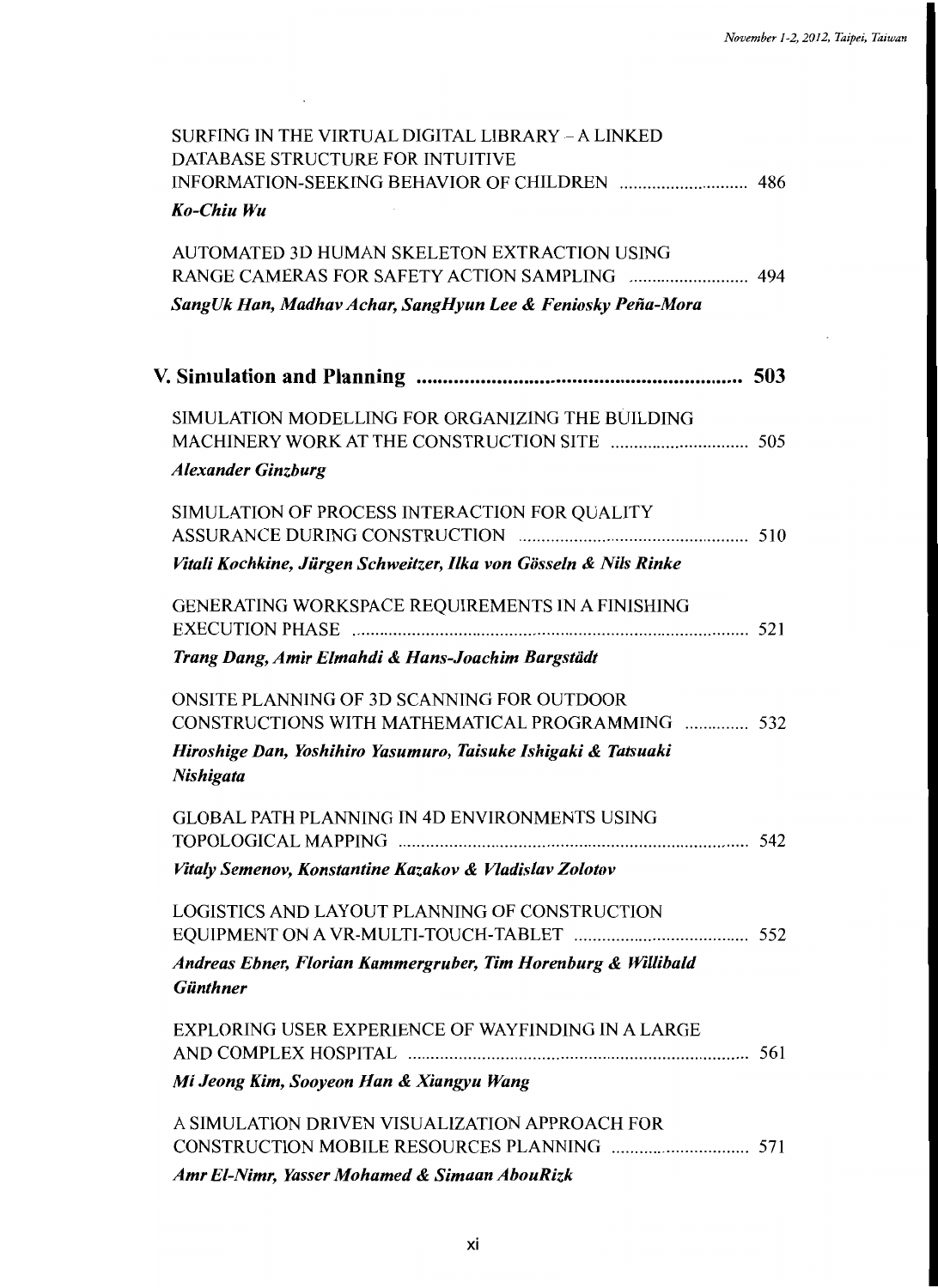| SURFING IN THE VIRTUAL DIGITAL LIBRARY - A LINKED<br>DATABASE STRUCTURE FOR INTUITIVE<br>Ko-Chiu Wu         |  |
|-------------------------------------------------------------------------------------------------------------|--|
| AUTOMATED 3D HUMAN SKELETON EXTRACTION USING<br>SangUk Han, Madhav Achar, SangHyun Lee & Feniosky Peña-Mora |  |
|                                                                                                             |  |
|                                                                                                             |  |
| SIMULATION MODELLING FOR ORGANIZING THE BUILDING<br><b>Alexander Ginzburg</b>                               |  |
| SIMULATION OF PROCESS INTERACTION FOR QUALITY                                                               |  |
| Vitali Kochkine, Jürgen Schweitzer, Ilka von Gösseln & Nils Rinke                                           |  |
| GENERATING WORKSPACE REQUIREMENTS IN A FINISHING                                                            |  |
| Trang Dang, Amir Elmahdi & Hans-Joachim Bargstädt                                                           |  |
| ONSITE PLANNING OF 3D SCANNING FOR OUTDOOR<br>CONSTRUCTIONS WITH MATHEMATICAL PROGRAMMING  532              |  |
| Hiroshige Dan, Yoshihiro Yasumuro, Taisuke Ishigaki & Tatsuaki<br>Nishigata                                 |  |
| <b>GLOBAL PATH PLANNING IN 4D ENVIRONMENTS USING</b>                                                        |  |
| Vitaly Semenov, Konstantine Kazakov & Vladislav Zolotov                                                     |  |
| LOGISTICS AND LAYOUT PLANNING OF CONSTRUCTION                                                               |  |
| Andreas Ebner, Florian Kammergruber, Tim Horenburg & Willibald<br><b>Günthner</b>                           |  |
| EXPLORING USER EXPERIENCE OF WAYFINDING IN A LARGE                                                          |  |
| Mi Jeong Kim, Sooyeon Han & Xiangyu Wang                                                                    |  |
| A SIMULATION DRIVEN VISUALIZATION APPROACH FOR<br>Amr El-Nimr, Yasser Mohamed & Simaan AbouRizk             |  |
|                                                                                                             |  |